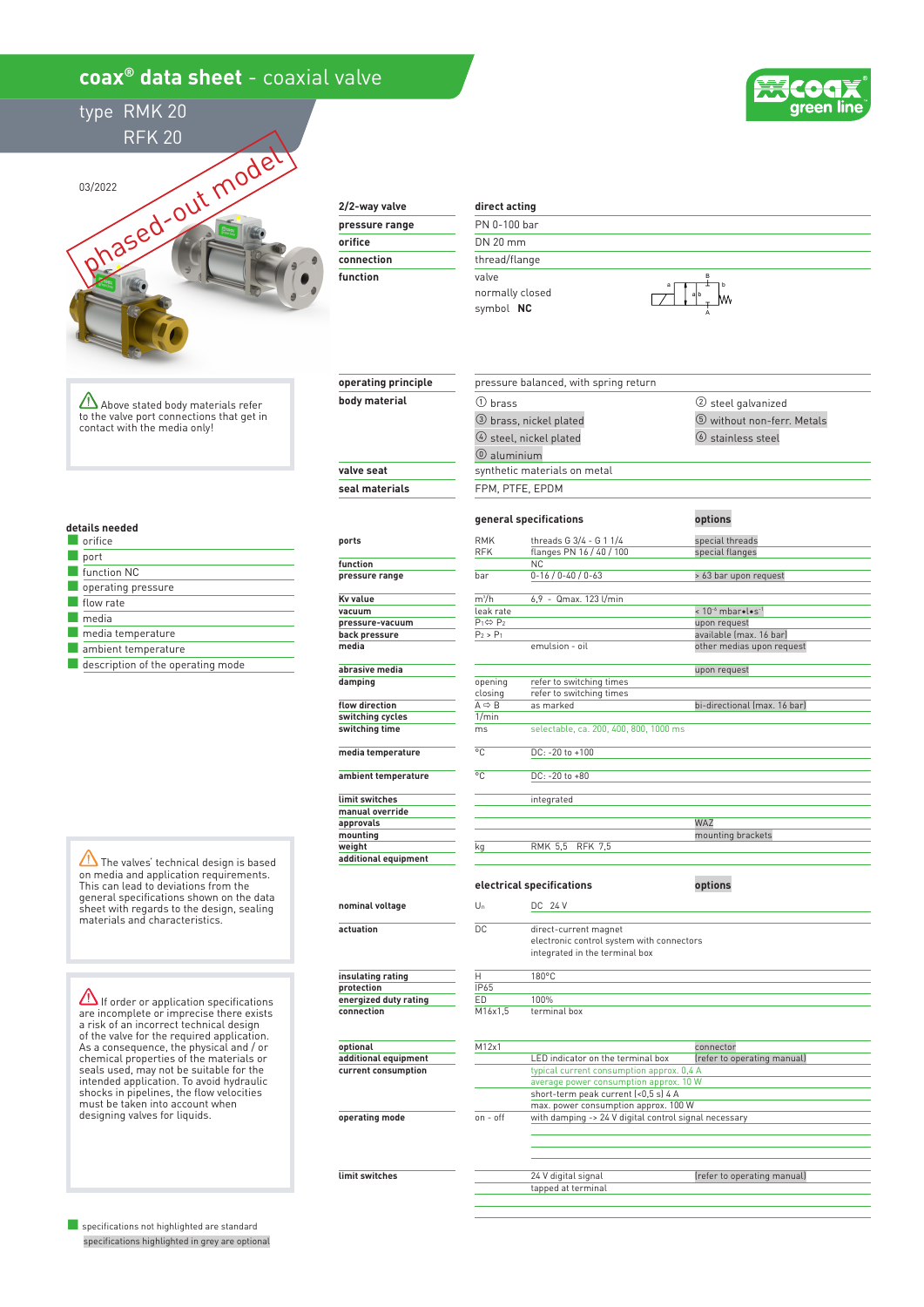### **coax® data sheet** - coaxial valve



type RMK 20 RFK 20



### **2/2-way valve**

| pressure range |
|----------------|
| orifice        |
| connection     |
| function       |
|                |

**operating principle body material**

**limit switches**

### **direct acting**

① brass

③ brass, nickel plated

④ steel, nickel plated

PN 0-100 bar DN 20 mm thread/flange valve normally closed symbol  **NC**

pressure balanced, with spring return



⑥ stainless steel

② steel galvanized ⑤ without non-ferr. Metals

Above stated body materials refer to the valve port connections that get in contact with the media only!

#### **details needed**

| orifice                           |
|-----------------------------------|
| port                              |
| function NC                       |
| operating pressure                |
| flow rate                         |
| media                             |
| media temperature                 |
| ambient temperature               |
| description of the operating mode |

The valves' technical design is based on media and application requirements. This can lead to deviations from the general specifications shown on the data sheet with regards to the design, sealing materials and characteristics.

 $\sum$  If order or application specifications are incomplete or imprecise there exists a risk of an incorrect technical design of the valve for the required application. As a consequence, the physical and / or chemical properties of the materials or seals used, may not be suitable for the intended application. To avoid hydraulic shocks in pipelines, the flow velocities must be taken into account when designing valves for liquids.

■ specifications not highlighted are standard specifications highlighted in grey are optional

|                       | $@$ aluminium             |                                                       |                                           |  |  |  |
|-----------------------|---------------------------|-------------------------------------------------------|-------------------------------------------|--|--|--|
| valve seat            |                           | synthetic materials on metal                          |                                           |  |  |  |
| seal materials        |                           | FPM, PTFE, EPDM                                       |                                           |  |  |  |
|                       |                           | general specifications                                | options                                   |  |  |  |
|                       |                           |                                                       |                                           |  |  |  |
| ports                 | <b>RMK</b>                | threads G 3/4 - G 1 1/4                               | special threads                           |  |  |  |
|                       | <b>RFK</b>                | flanges PN 16 / 40 / 100                              | special flanges                           |  |  |  |
| function              | bar                       | <b>NC</b>                                             |                                           |  |  |  |
| pressure range        |                           | $0-16/0-40/0-63$                                      | > 63 bar upon request                     |  |  |  |
| <b>Kv</b> value       | m <sup>3</sup> /h         | 6,9 - Qmax. 123 l/min                                 |                                           |  |  |  |
| vacuum                | leak rate                 |                                                       | < 10 <sup>-6</sup> mbar.l.s <sup>-1</sup> |  |  |  |
| pressure-vacuum       | $P_1 \Leftrightarrow P_2$ |                                                       | upon request                              |  |  |  |
| back pressure         | $P_2 > P_1$               |                                                       | available (max. 16 bar)                   |  |  |  |
| media                 |                           | emulsion - oil                                        | other medias upon request                 |  |  |  |
| abrasive media        |                           |                                                       | upon request                              |  |  |  |
| damping               | opening                   | refer to switching times                              |                                           |  |  |  |
|                       | closing                   | refer to switching times                              |                                           |  |  |  |
| flow direction        | $A \Leftrightarrow B$     | as marked                                             | bi-directional (max. 16 bar)              |  |  |  |
| switching cycles      | 1/min                     |                                                       |                                           |  |  |  |
| switching time        | ms                        | selectable, ca. 200, 400, 800, 1000 ms                |                                           |  |  |  |
| media temperature     | °C                        | DC: -20 to +100                                       |                                           |  |  |  |
| ambient temperature   | °C                        | DC: -20 to +80                                        |                                           |  |  |  |
|                       |                           |                                                       |                                           |  |  |  |
| limit switches        |                           | integrated                                            |                                           |  |  |  |
| manual override       |                           |                                                       |                                           |  |  |  |
| approvals             |                           |                                                       | WAZ                                       |  |  |  |
| mounting              |                           |                                                       | mounting brackets                         |  |  |  |
| weight                | kg                        | RMK 5,5<br><b>RFK 7.5</b>                             |                                           |  |  |  |
| additional equipment  |                           |                                                       |                                           |  |  |  |
|                       |                           | electrical specifications                             | options                                   |  |  |  |
| nominal voltage       | $U_n$                     | DC 24 V                                               |                                           |  |  |  |
|                       |                           |                                                       |                                           |  |  |  |
| actuation             | DC                        | direct-current magnet                                 |                                           |  |  |  |
|                       |                           | electronic control system with connectors             |                                           |  |  |  |
|                       |                           | integrated in the terminal box                        |                                           |  |  |  |
| insulating rating     | н                         | 180°C                                                 |                                           |  |  |  |
| protection            | IP65                      |                                                       |                                           |  |  |  |
| energized duty rating | ED                        | 100%                                                  |                                           |  |  |  |
| connection            | M16x1,5                   | terminal box                                          |                                           |  |  |  |
|                       |                           |                                                       |                                           |  |  |  |
| optional              | M12x1                     |                                                       | connector                                 |  |  |  |
| additional equipment  |                           | LED indicator on the terminal box                     | (refer to operating manual)               |  |  |  |
| current consumption   |                           | typical current consumption approx. 0,4 A             |                                           |  |  |  |
|                       |                           | average power consumption approx. 10 W                |                                           |  |  |  |
|                       |                           | short-term peak current (<0,5 s) 4 A                  |                                           |  |  |  |
|                       |                           | max. power consumption approx. 100 W                  |                                           |  |  |  |
| operating mode        | on - off                  | with damping -> 24 V digital control signal necessary |                                           |  |  |  |

24 V digital signal **and COV** (refer to operating manual)

tapped at terminal